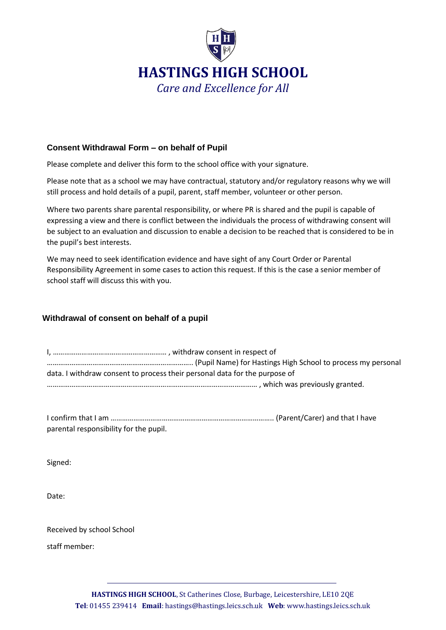

## **Consent Withdrawal Form – on behalf of Pupil**

Please complete and deliver this form to the school office with your signature.

Please note that as a school we may have contractual, statutory and/or regulatory reasons why we will still process and hold details of a pupil, parent, staff member, volunteer or other person.

Where two parents share parental responsibility, or where PR is shared and the pupil is capable of expressing a view and there is conflict between the individuals the process of withdrawing consent will be subject to an evaluation and discussion to enable a decision to be reached that is considered to be in the pupil's best interests.

We may need to seek identification evidence and have sight of any Court Order or Parental Responsibility Agreement in some cases to action this request. If this is the case a senior member of school staff will discuss this with you.

## **Withdrawal of consent on behalf of a pupil**

| data. I withdraw consent to process their personal data for the purpose of |
|----------------------------------------------------------------------------|
|                                                                            |

I confirm that I am ………………………………………………………………………….. (Parent/Carer) and that I have parental responsibility for the pupil.

Signed:

Date:

Received by school School

staff member: